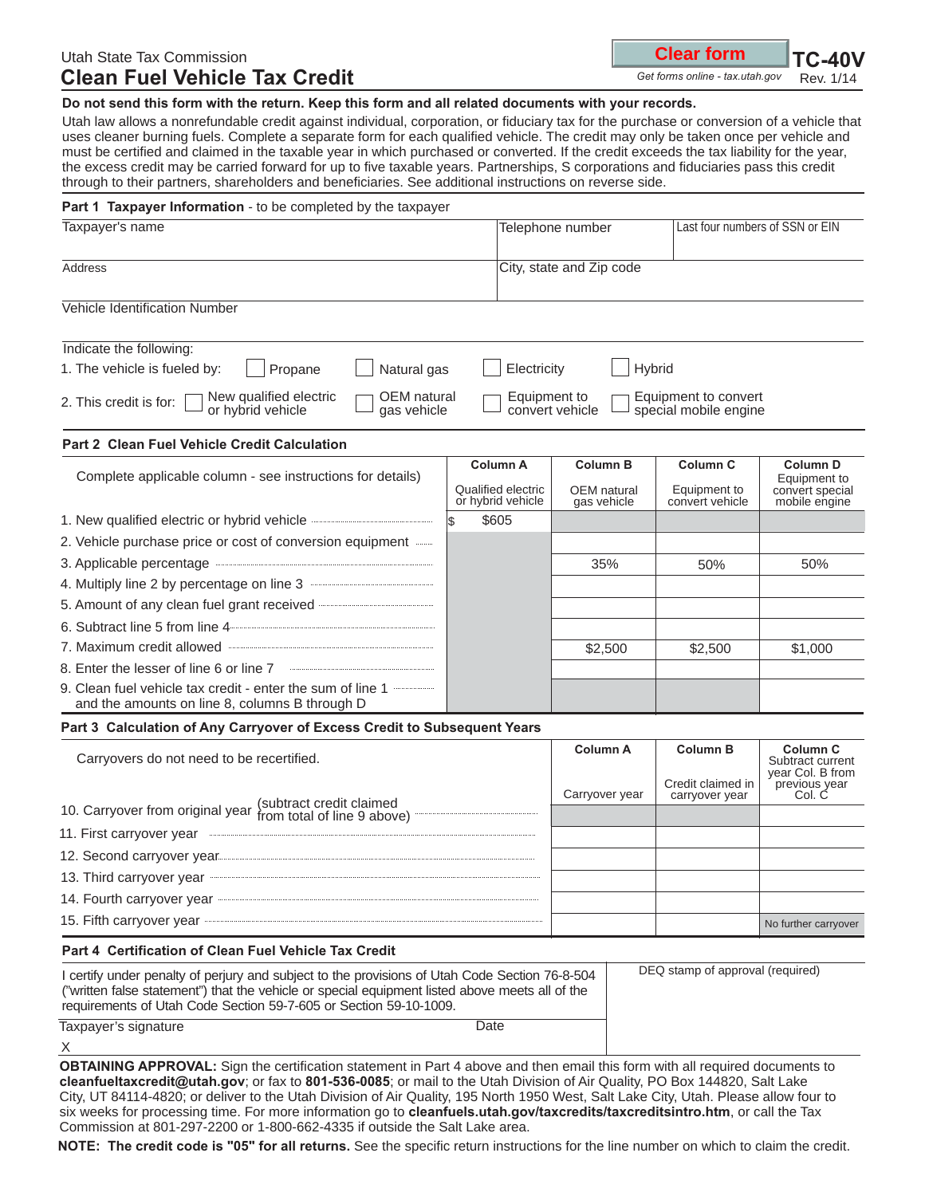# Utah State Tax Commission **Clean Fuel Vehicle Tax Credit**

| <b>Clear form</b> |  | $TC-40$ |
|-------------------|--|---------|
|                   |  |         |

Get forms online - tax.utah.gov Rev. 1/14 *Get forms online - tax.utah.gov*

 $\mathbf V$ 

**Do not send this form with the return. Keep this form and all related documents with your records.**

Utah law allows a nonrefundable credit against individual, corporation, or fiduciary tax for the purchase or conversion of a vehicle that uses cleaner burning fuels. Complete a separate form for each qualified vehicle. The credit may only be taken once per vehicle and must be certified and claimed in the taxable year in which purchased or converted. If the credit exceeds the tax liability for the year, the excess credit may be carried forward for up to five taxable years. Partnerships, S corporations and fiduciaries pass this credit through to their partners, shareholders and beneficiaries. See additional instructions on reverse side.

| Part 1 Taxpayer Information - to be completed by the taxpayer                                                                                                                                                                                                                                              |                                                     |                                                                                  |                                                        |                                                                     |  |  |  |
|------------------------------------------------------------------------------------------------------------------------------------------------------------------------------------------------------------------------------------------------------------------------------------------------------------|-----------------------------------------------------|----------------------------------------------------------------------------------|--------------------------------------------------------|---------------------------------------------------------------------|--|--|--|
| Taxpayer's name                                                                                                                                                                                                                                                                                            |                                                     | Telephone number                                                                 | Last four numbers of SSN or EIN                        |                                                                     |  |  |  |
| Address                                                                                                                                                                                                                                                                                                    |                                                     | City, state and Zip code                                                         |                                                        |                                                                     |  |  |  |
| Vehicle Identification Number                                                                                                                                                                                                                                                                              |                                                     |                                                                                  |                                                        |                                                                     |  |  |  |
| Indicate the following:                                                                                                                                                                                                                                                                                    |                                                     |                                                                                  |                                                        |                                                                     |  |  |  |
| 1. The vehicle is fueled by:<br>Electricity<br>Hybrid<br>Propane<br>Natural gas                                                                                                                                                                                                                            |                                                     |                                                                                  |                                                        |                                                                     |  |  |  |
| New qualified electric<br>OEM natural<br>2. This credit is for:<br>or hybrid vehicle<br>gas vehicle                                                                                                                                                                                                        |                                                     | Equipment to<br>Equipment to convert<br>convert vehicle<br>special mobile engine |                                                        |                                                                     |  |  |  |
| Part 2 Clean Fuel Vehicle Credit Calculation                                                                                                                                                                                                                                                               |                                                     |                                                                                  |                                                        |                                                                     |  |  |  |
| Complete applicable column - see instructions for details)                                                                                                                                                                                                                                                 | Column A<br>Qualified electric<br>or hybrid vehicle | <b>Column B</b><br>OEM natural<br>gas vehicle                                    | Column <sub>C</sub><br>Equipment to<br>convert vehicle | <b>Column D</b><br>Equipment to<br>convert special<br>mobile engine |  |  |  |
| 1. New qualified electric or hybrid vehicle                                                                                                                                                                                                                                                                | \$605<br>l\$                                        |                                                                                  |                                                        |                                                                     |  |  |  |
| 2. Vehicle purchase price or cost of conversion equipment                                                                                                                                                                                                                                                  |                                                     |                                                                                  |                                                        |                                                                     |  |  |  |
| 3. Applicable percentage                                                                                                                                                                                                                                                                                   |                                                     | 35%                                                                              | 50%                                                    | 50%                                                                 |  |  |  |
| 4. Multiply line 2 by percentage on line 3                                                                                                                                                                                                                                                                 |                                                     |                                                                                  |                                                        |                                                                     |  |  |  |
| 5. Amount of any clean fuel grant received <b>Constructs</b> Construction of any clean fuel grant received                                                                                                                                                                                                 |                                                     |                                                                                  |                                                        |                                                                     |  |  |  |
| 6. Subtract line 5 from line 4                                                                                                                                                                                                                                                                             |                                                     |                                                                                  |                                                        |                                                                     |  |  |  |
| 7. Maximum credit allowed                                                                                                                                                                                                                                                                                  |                                                     | \$2,500                                                                          | \$2,500                                                | \$1,000                                                             |  |  |  |
| 8. Enter the lesser of line 6 or line 7                                                                                                                                                                                                                                                                    |                                                     |                                                                                  |                                                        |                                                                     |  |  |  |
| 9. Clean fuel vehicle tax credit - enter the sum of line 1<br>and the amounts on line 8, columns B through D                                                                                                                                                                                               |                                                     |                                                                                  |                                                        |                                                                     |  |  |  |
| Part 3 Calculation of Any Carryover of Excess Credit to Subsequent Years                                                                                                                                                                                                                                   |                                                     |                                                                                  |                                                        |                                                                     |  |  |  |
| Carryovers do not need to be recertified.                                                                                                                                                                                                                                                                  |                                                     | <b>Column A</b>                                                                  | <b>Column B</b><br>Credit claimed in                   | Column <sub>C</sub><br>Subtract current<br>year Col. B from         |  |  |  |
| (subtract credit claimed<br>10. Carryover from original year from total of line 9 above)                                                                                                                                                                                                                   | Carryover year                                      | carryover year                                                                   | previous year<br>Col. C                                |                                                                     |  |  |  |
| 11. First carryover year                                                                                                                                                                                                                                                                                   |                                                     |                                                                                  |                                                        |                                                                     |  |  |  |
| 12. Second carryover year                                                                                                                                                                                                                                                                                  |                                                     |                                                                                  |                                                        |                                                                     |  |  |  |
| 13. Third carryover year                                                                                                                                                                                                                                                                                   |                                                     |                                                                                  |                                                        |                                                                     |  |  |  |
| 14. Fourth carryover year                                                                                                                                                                                                                                                                                  |                                                     |                                                                                  |                                                        |                                                                     |  |  |  |
| 15. Fifth carryover year                                                                                                                                                                                                                                                                                   |                                                     |                                                                                  |                                                        | No further carryover                                                |  |  |  |
| <b>Part 4 Certification of Clean Fuel Vehicle Tax Credit</b>                                                                                                                                                                                                                                               |                                                     |                                                                                  |                                                        |                                                                     |  |  |  |
| DEQ stamp of approval (required)<br>I certify under penalty of perjury and subject to the provisions of Utah Code Section 76-8-504<br>("written false statement") that the vehicle or special equipment listed above meets all of the<br>requirements of Utah Code Section 59-7-605 or Section 59-10-1009. |                                                     |                                                                                  |                                                        |                                                                     |  |  |  |
| Taxpayer's signature                                                                                                                                                                                                                                                                                       | Date                                                |                                                                                  |                                                        |                                                                     |  |  |  |
| X                                                                                                                                                                                                                                                                                                          |                                                     |                                                                                  |                                                        |                                                                     |  |  |  |

**OBTAINING APPROVAL:** Sign the certification statement in Part 4 above and then email this form with all required documents to **cleanfueltaxcredit@utah.gov**; or fax to **801-536-0085**; or mail to the Utah Division of Air Quality, PO Box 144820, Salt Lake City, UT 84114-4820; or deliver to the Utah Division of Air Quality, 195 North 1950 West, Salt Lake City, Utah. Please allow four to six weeks for processing time. For more information go to **cleanfuels.utah.gov/taxcredits/taxcreditsintro.htm**, or call the Tax Commission at 801-297-2200 or 1-800-662-4335 if outside the Salt Lake area.

**NOTE: The credit code is "05" for all returns.** See the specific return instructions for the line number on which to claim the credit.